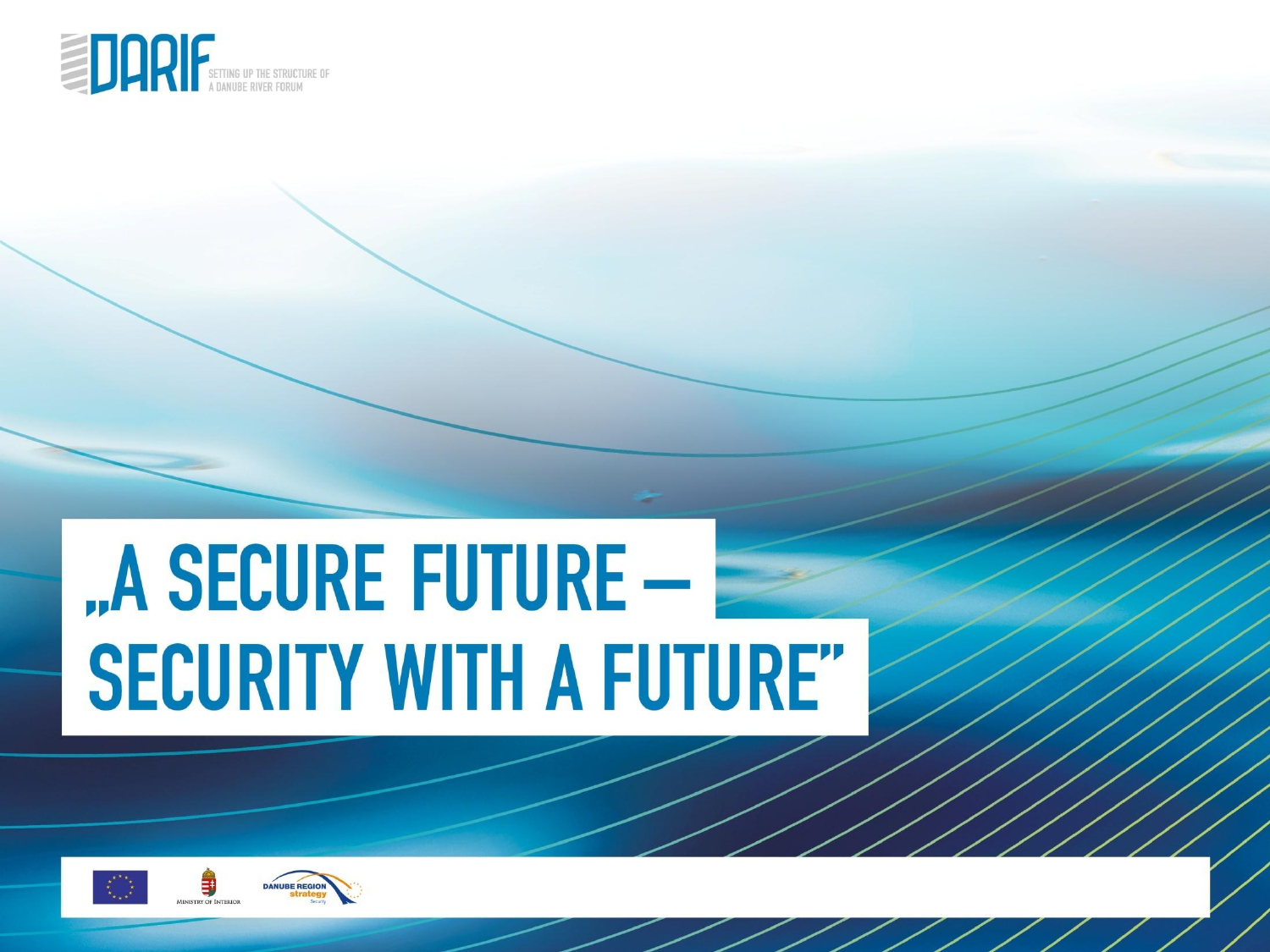

# "A SECURE FUTURE -**SECURITY WITH A FUTURE"**

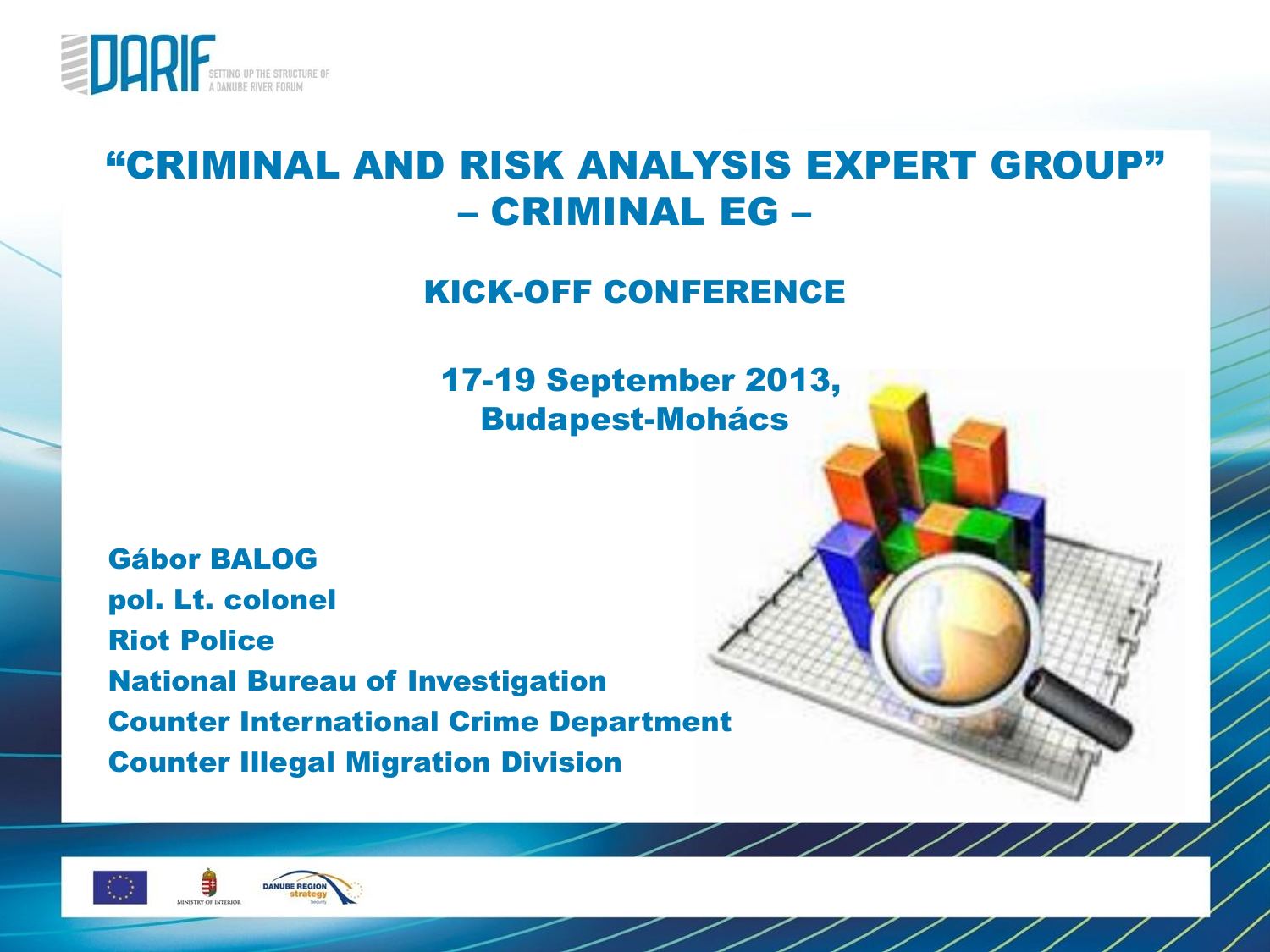

#### "CRIMINAL AND RISK ANALYSIS EXPERT GROUP" – CRIMINAL EG –

KICK-OFF CONFERENCE

17-19 September 2013, Budapest-Mohács

 $\overline{\phantom{a}}$ 

Gábor BALOG pol. Lt. colonel Riot Police National Bureau of Investigation Counter International Crime Department Counter Illegal Migration Division



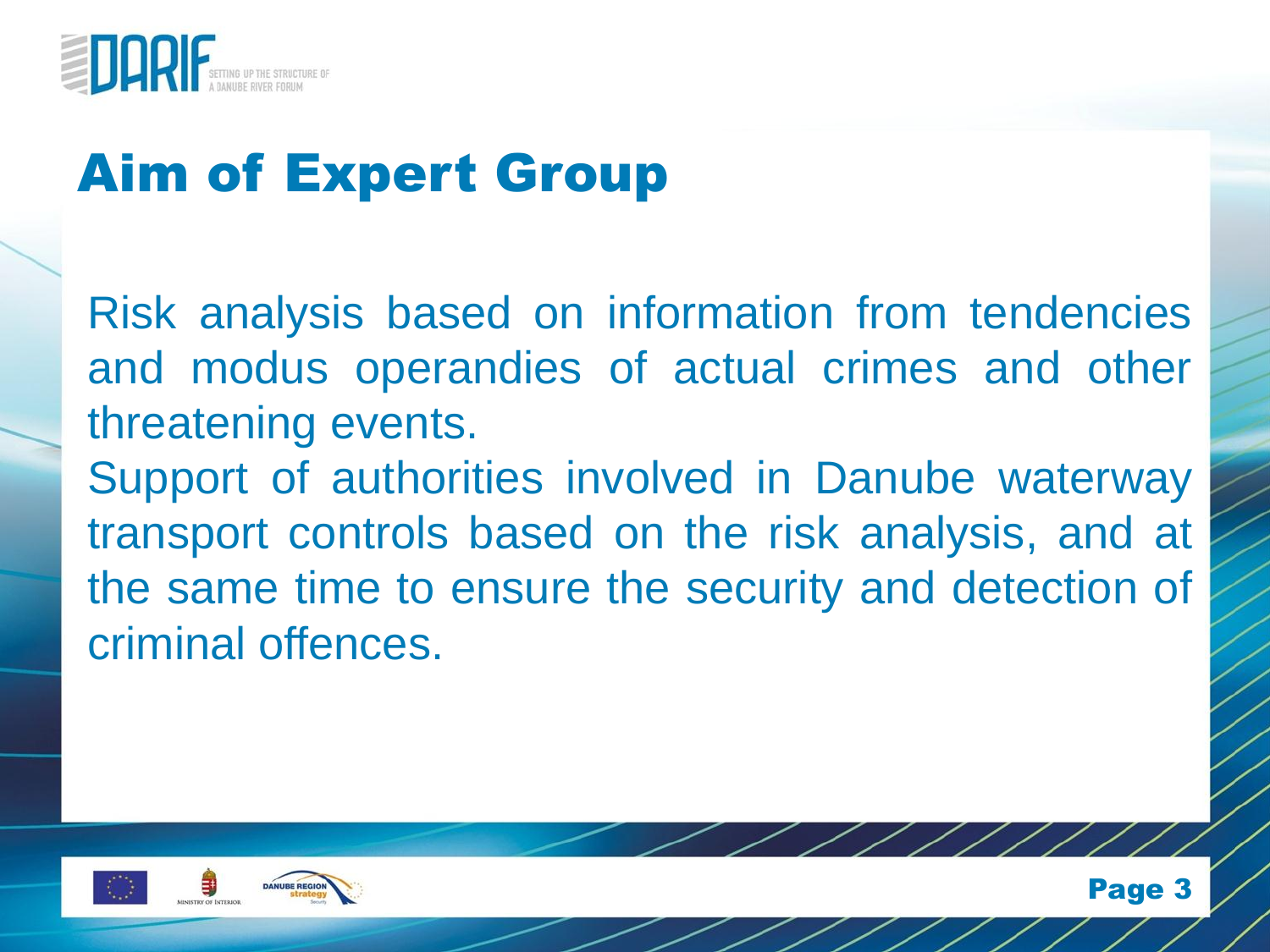

#### Aim of Expert Group

Risk analysis based on information from tendencies and modus operandies of actual crimes and other threatening events. Support of authorities involved in Danube waterway transport controls based on the risk analysis, and at the same time to ensure the security and detection of criminal offences.





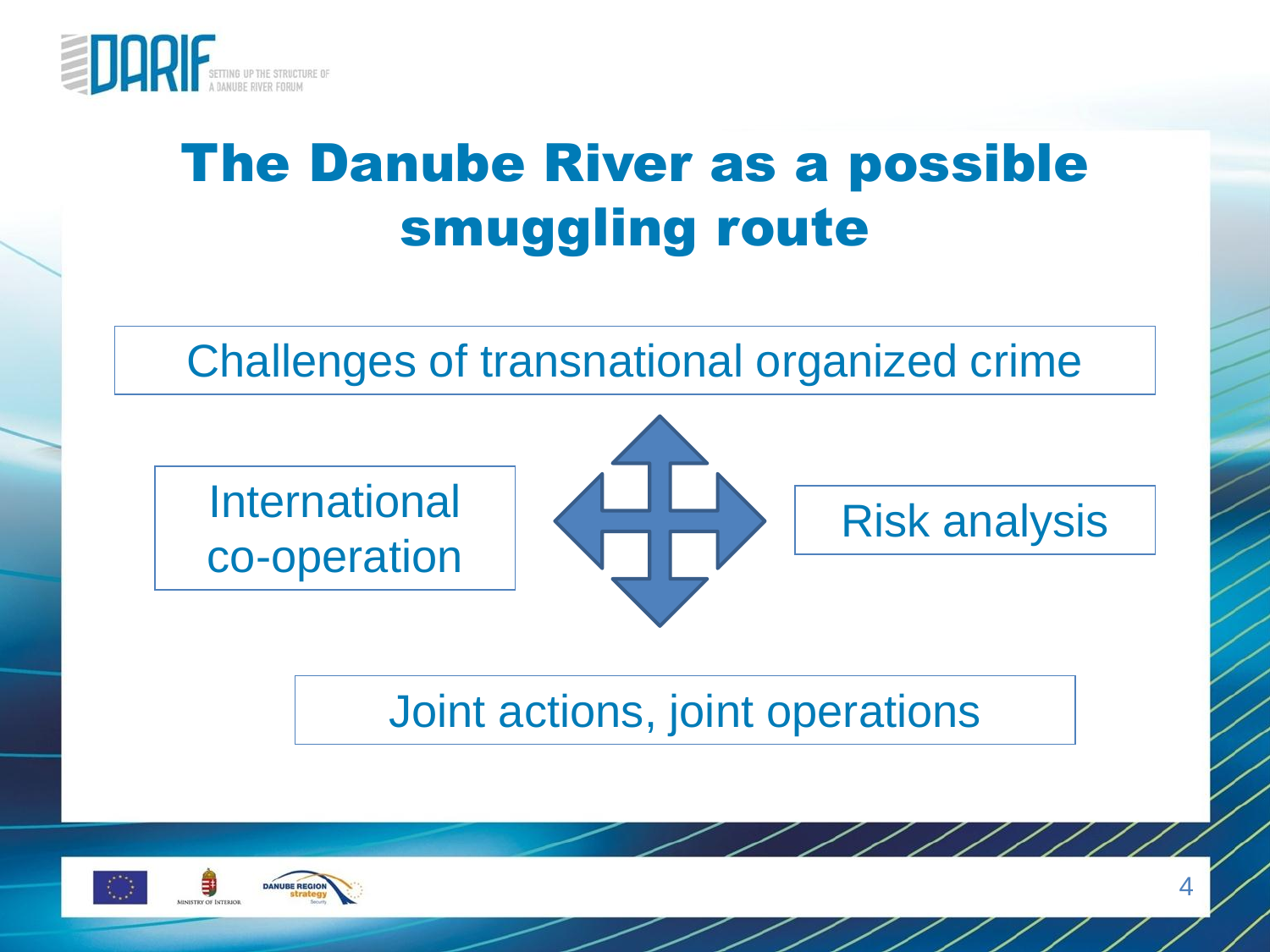

### The Danube River as a possible smuggling route

Challenges of transnational organized crime

International co-operation



Joint actions, joint operations



Risk analysis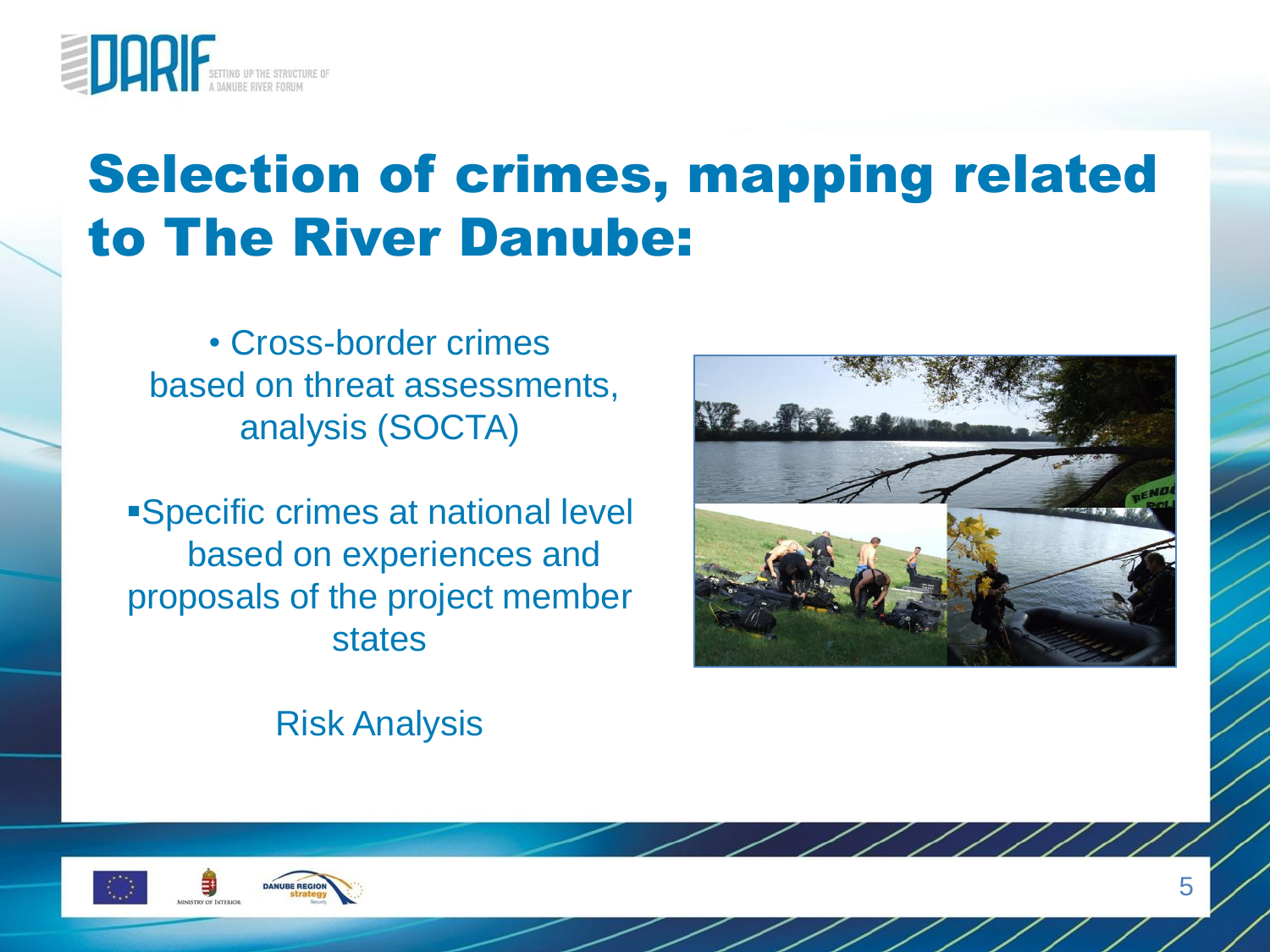

#### Selection of crimes, mapping related to The River Danube:

• Cross-border crimes based on threat assessments, analysis (SOCTA)

Specific crimes at national level based on experiences and proposals of the project member states



Risk Analysis



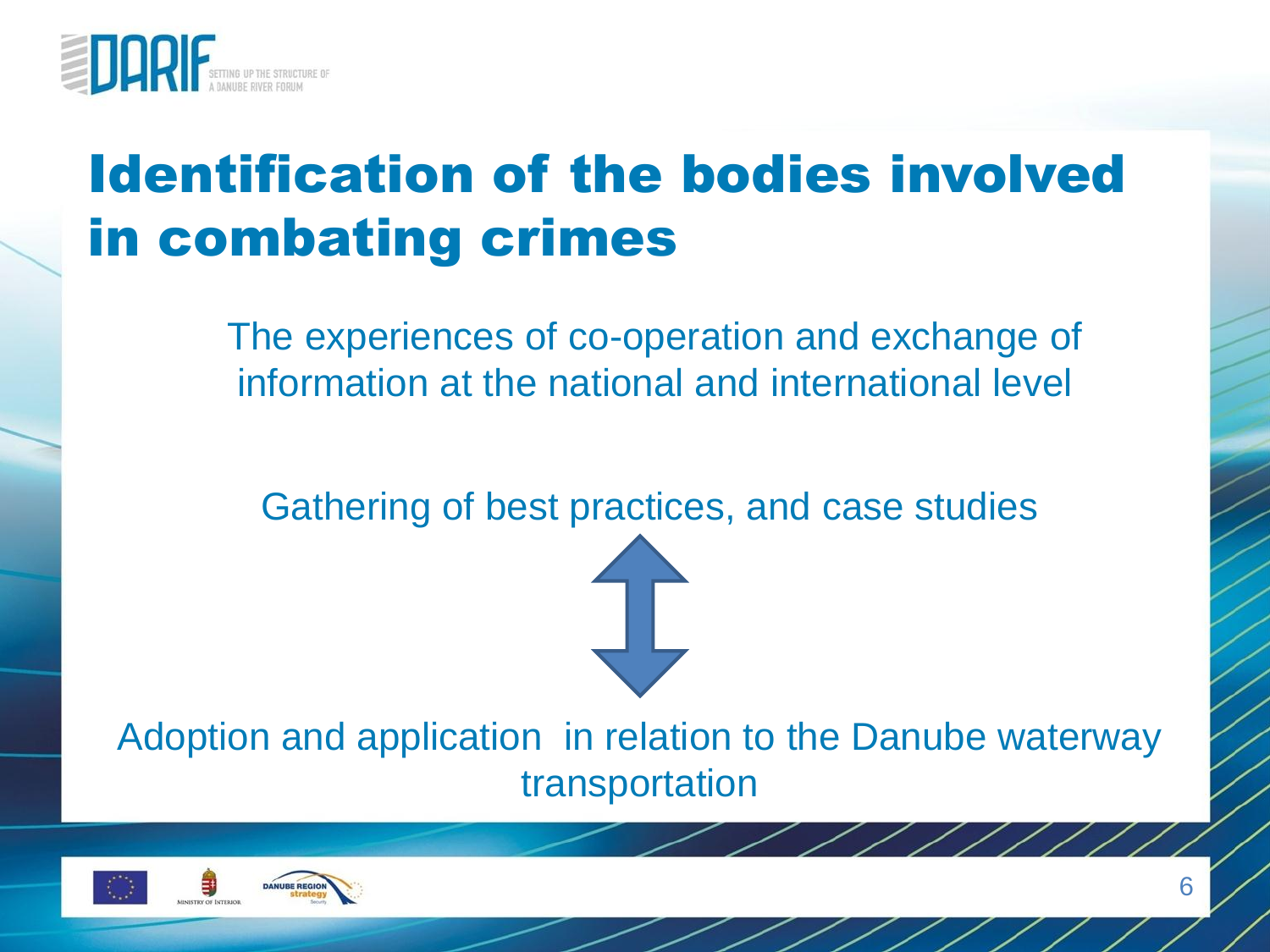

#### Identification of the bodies involved in combating crimes

The experiences of co-operation and exchange of information at the national and international level

Gathering of best practices, and case studies



Adoption and application in relation to the Danube waterway transportation



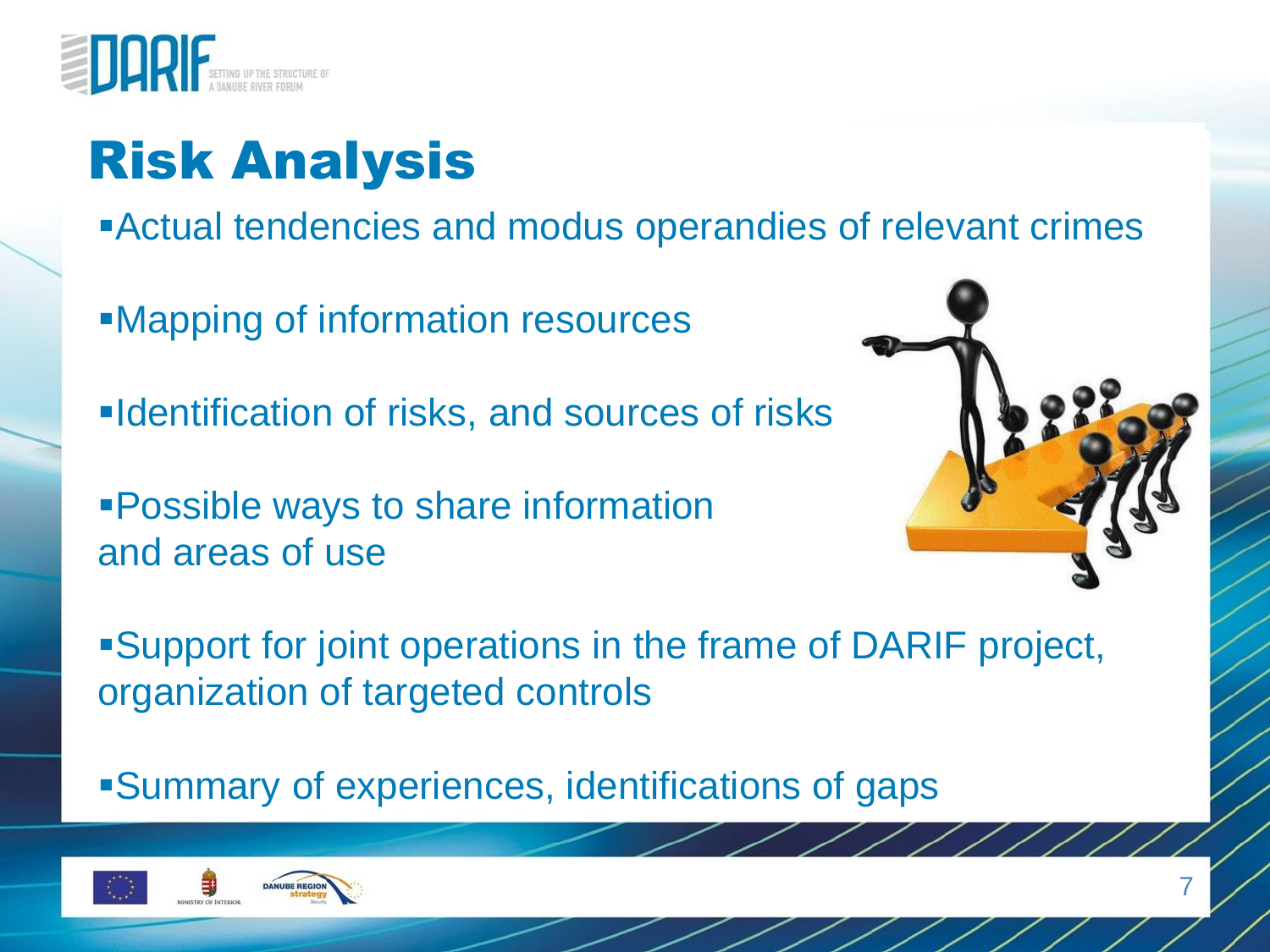

## Risk Analysis

Actual tendencies and modus operandies of relevant crimes

Mapping of information resources

**-Identification of risks, and sources of risks** 

Possible ways to share information and areas of use



Support for joint operations in the frame of DARIF project, organization of targeted controls

Summary of experiences, identifications of gaps

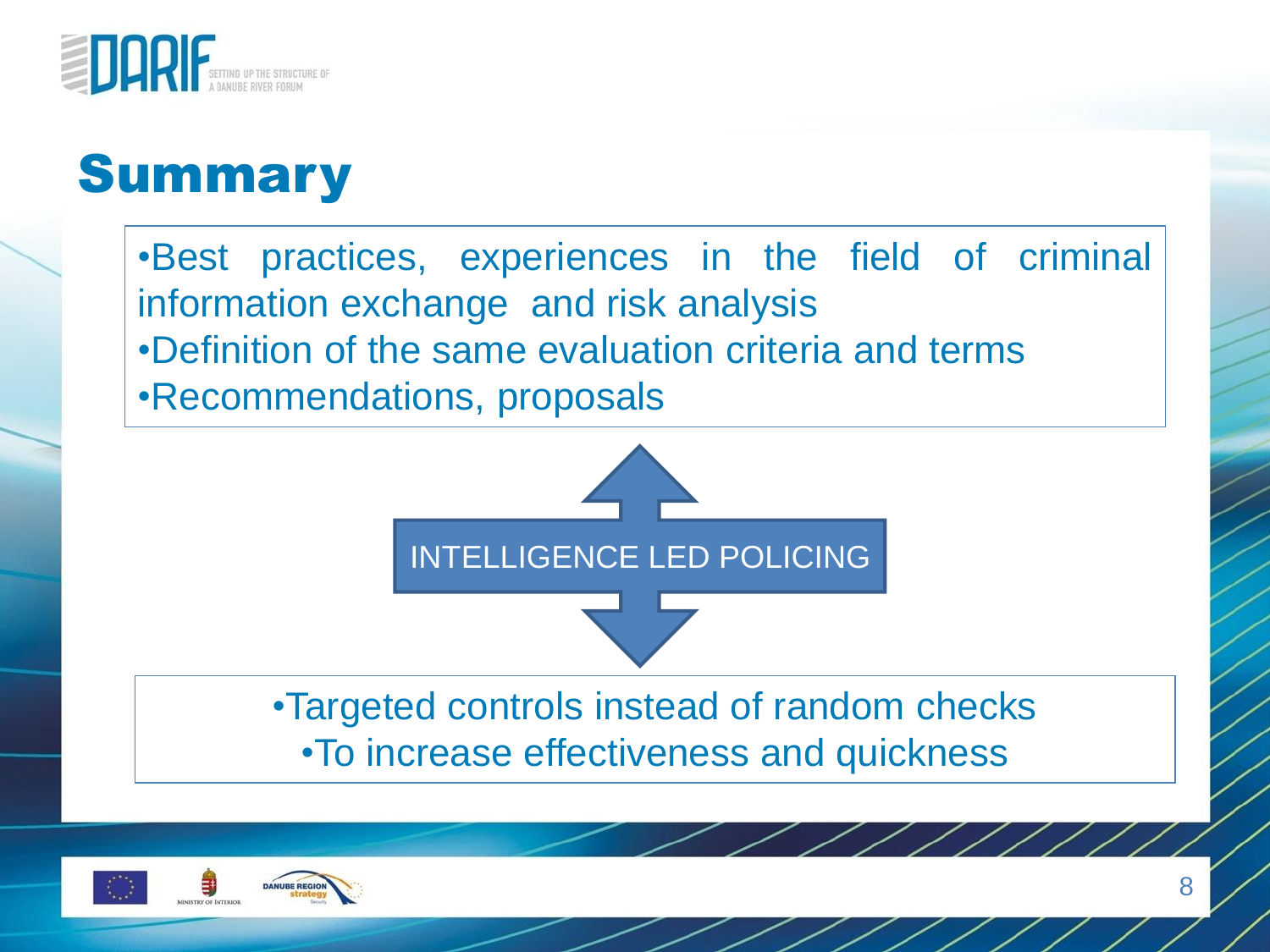

#### **Summary**

•Best practices, experiences in the field of criminal information exchange and risk analysis •Definition of the same evaluation criteria and terms •Recommendations, proposals



•Targeted controls instead of random checks •To increase effectiveness and quickness